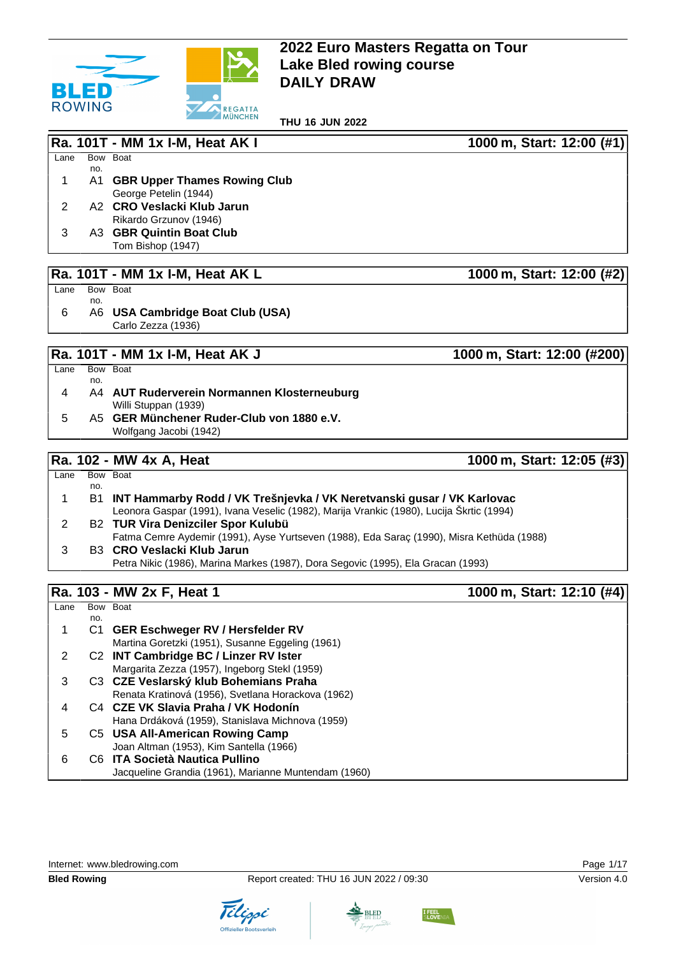

**THU 16 JUN 2022**

|      |            | Ra. 101T - MM 1x I-M, Heat AK I                              | 1000 m, Start: 12:00 (#1) |
|------|------------|--------------------------------------------------------------|---------------------------|
| Lane | no.        | Bow Boat                                                     |                           |
| 1    | A1         | <b>GBR Upper Thames Rowing Club</b><br>George Petelin (1944) |                           |
| 2    |            | A2 CRO Veslacki Klub Jarun<br>Rikardo Grzunov (1946)         |                           |
| 3    |            | A3 GBR Quintin Boat Club<br>Tom Bishop (1947)                |                           |
|      |            | Ra. 101T - MM 1x I-M, Heat AK L                              | 1000 m, Start: 12:00 (#2) |
| Lane |            | Bow Boat                                                     |                           |
| 6    | no.<br>A6. | <b>USA Cambridge Boat Club (USA)</b><br>Carlo Zezza (1936)   |                           |

#### **Ra. 101T - MM 1x I-M, Heat AK J 1000 m, Start: 12:00 (#200)**

| Lane |     | Bow Boat                                    |
|------|-----|---------------------------------------------|
|      | no. |                                             |
| 4    |     | A4 AUT Ruderverein Normannen Klosterneuburg |
|      |     | Willi Stuppan (1939)                        |
| 5    |     | A5 GER Münchener Ruder-Club von 1880 e.V.   |
|      |     | Wolfgang Jacobi (1942)                      |
|      |     |                                             |

**Ra. 102 - MW 4x A, Heat 1000 m, Start: 12:05 (#3)**  $Lane$ no. Bow Boat 1 B1 **INT Hammarby Rodd / VK Trešnjevka / VK Neretvanski gusar / VK Karlovac** Leonora Gaspar (1991), Ivana Veselic (1982), Marija Vrankic (1980), Lucija Škrtic (1994) 2 B2 **TUR Vira Denizciler Spor Kulubü** Fatma Cemre Aydemir (1991), Ayse Yurtseven (1988), Eda Saraç (1990), Misra Kethüda (1988) 3 B3 **CRO Veslacki Klub Jarun** Petra Nikic (1986), Marina Markes (1987), Dora Segovic (1995), Ela Gracan (1993)

## **Ra. 103 - MW 2x F, Heat 1 1000 m, Start: 12:10 (#4)**

| Lane |     | Bow Boat                                             |
|------|-----|------------------------------------------------------|
|      | no. |                                                      |
|      | C1. | <b>GER Eschweger RV / Hersfelder RV</b>              |
|      |     | Martina Goretzki (1951), Susanne Eggeling (1961)     |
| 2    |     | C2 INT Cambridge BC / Linzer RV Ister                |
|      |     | Margarita Zezza (1957), Ingeborg Stekl (1959)        |
| 3    |     | C3 CZE Veslarský klub Bohemians Praha                |
|      |     | Renata Kratinová (1956), Svetlana Horackova (1962)   |
| 4    |     | C4 CZE VK Slavia Praha / VK Hodonín                  |
|      |     | Hana Drdáková (1959), Stanislava Michnova (1959)     |
| 5    |     | C5 USA All-American Rowing Camp                      |
|      |     | Joan Altman (1953), Kim Santella (1966)              |
| 6    |     | C6 ITA Società Nautica Pullino                       |
|      |     | Jacqueline Grandia (1961), Marianne Muntendam (1960) |





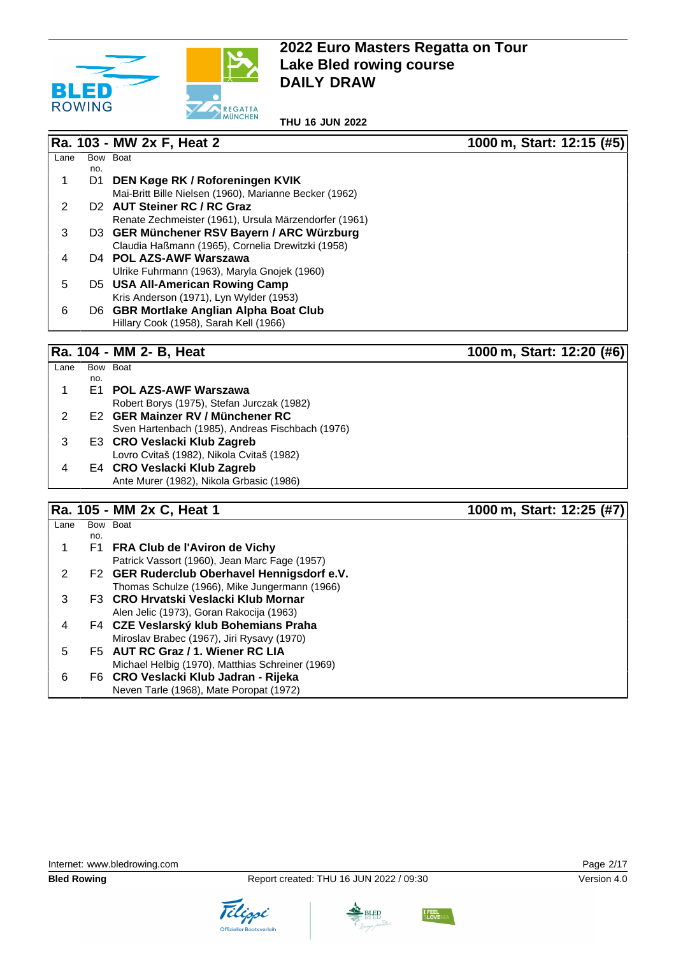

**THU 16 JUN 2022**

#### **Ra. 103 - MW 2x F, Heat 2 1000 m, Start: 12:15 (#5)**

| Lane |     | Bow Boat                                               |
|------|-----|--------------------------------------------------------|
|      | no. |                                                        |
|      | D1  | DEN Køge RK / Roforeningen KVIK                        |
|      |     | Mai-Britt Bille Nielsen (1960), Marianne Becker (1962) |
|      |     | D <sub>2</sub> AUT Steiner RC / RC Graz                |
|      |     | Renate Zechmeister (1961), Ursula Märzendorfer (1961)  |
| 3    |     | D3 GER Münchener RSV Bayern / ARC Würzburg             |
|      |     | Claudia Haßmann (1965), Cornelia Drewitzki (1958)      |
| 4    |     | D <sub>4</sub> POL AZS-AWF Warszawa                    |
|      |     | Ulrike Fuhrmann (1963), Maryla Gnojek (1960)           |
| 5    |     | D5 USA All-American Rowing Camp                        |
|      |     | Kris Anderson (1971), Lyn Wylder (1953)                |
| 6    |     | D6 GBR Mortlake Anglian Alpha Boat Club                |
|      |     | Hillary Cook (1958), Sarah Kell (1966)                 |
|      |     |                                                        |

Ra. 104 - MM 2- B, Heat 1000 m, Start: 12:20 (#6)

| Lane | Bow | <b>Boat</b>                                      |
|------|-----|--------------------------------------------------|
|      | no. |                                                  |
| 1    |     | E1 POL AZS-AWF Warszawa                          |
|      |     | Robert Borys (1975), Stefan Jurczak (1982)       |
| 2    |     | E2 GER Mainzer RV / Münchener RC                 |
|      |     | Sven Hartenbach (1985), Andreas Fischbach (1976) |
| 3    |     | E3 CRO Veslacki Klub Zagreb                      |
|      |     | Lovro Cvitaš (1982), Nikola Cvitaš (1982)        |
|      |     | E4 CRO Veslacki Klub Zagreb                      |
|      |     | Ante Murer (1982), Nikola Grbasic (1986)         |
|      |     |                                                  |

**Ra. 105 - MM 2x C, Heat 1 1000 m, Start: 12:25 (#7)**  $Lane$ no. Bow Boat 1 F1 **FRA Club de l'Aviron de Vichy** Patrick Vassort (1960), Jean Marc Fage (1957) 2 F2 **GER Ruderclub Oberhavel Hennigsdorf e.V.** Thomas Schulze (1966), Mike Jungermann (1966) 3 F3 **CRO Hrvatski Veslacki Klub Mornar** Alen Jelic (1973), Goran Rakocija (1963) 4 F4 **CZE Veslarský klub Bohemians Praha** Miroslav Brabec (1967), Jiri Rysavy (1970) 5 F5 **AUT RC Graz / 1. Wiener RC LIA** Michael Helbig (1970), Matthias Schreiner (1969) 6 F6 **CRO Veslacki Klub Jadran - Rijeka** Neven Tarle (1968), Mate Poropat (1972)



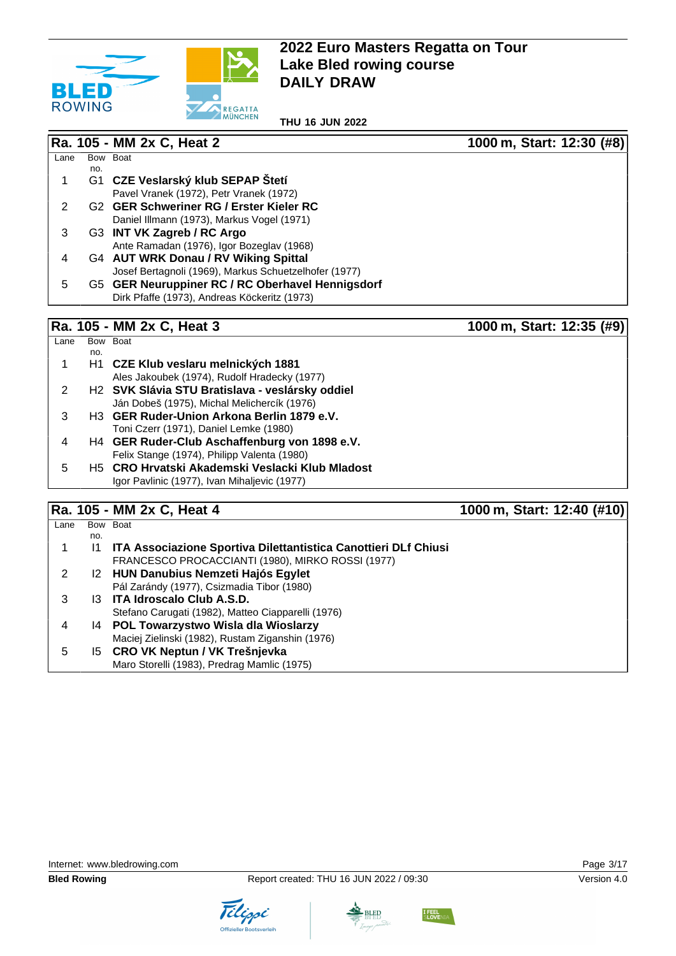

**THU 16 JUN 2022**

|      |     | Ra. 105 - MM 2x C, Heat 2                             | 1000 m, Start: 12:30 (#8) |
|------|-----|-------------------------------------------------------|---------------------------|
| Lane |     | Bow Boat                                              |                           |
|      | no. |                                                       |                           |
|      | G1  | CZE Veslarský klub SEPAP Štetí                        |                           |
|      |     | Pavel Vranek (1972), Petr Vranek (1972)               |                           |
|      |     | G <sub>2</sub> GER Schweriner RG / Erster Kieler RC   |                           |
|      |     | Daniel Illmann (1973), Markus Vogel (1971)            |                           |
| 3    |     | G3 INT VK Zagreb / RC Argo                            |                           |
|      |     | Ante Ramadan (1976), Igor Bozeglav (1968)             |                           |
| 4    |     | G4 AUT WRK Donau / RV Wiking Spittal                  |                           |
|      |     | Josef Bertagnoli (1969), Markus Schuetzelhofer (1977) |                           |
| 5    |     | G5 GER Neuruppiner RC / RC Oberhavel Hennigsdorf      |                           |
|      |     | Dirk Pfaffe (1973), Andreas Köckeritz (1973)          |                           |
|      |     |                                                       |                           |
|      |     | - - -                                                 |                           |

#### **Ra. 105 - MM 2x C, Heat 3 1000 m, Start: 12:35 (#9)**

| Lane |     | Bow Boat                                                    |
|------|-----|-------------------------------------------------------------|
|      | no. |                                                             |
|      |     | H <sub>1</sub> CZE Klub veslaru melnických 1881             |
|      |     | Ales Jakoubek (1974), Rudolf Hradecky (1977)                |
|      |     | H <sub>2</sub> SVK Slávia STU Bratislava - veslársky oddiel |
|      |     | Ján Dobeš (1975), Michal Melichercík (1976)                 |
| 3    |     | H <sub>3</sub> GER Ruder-Union Arkona Berlin 1879 e.V.      |
|      |     | Toni Czerr (1971), Daniel Lemke (1980)                      |
| 4    |     | H4 GER Ruder-Club Aschaffenburg von 1898 e.V.               |
|      |     | Felix Stange (1974), Philipp Valenta (1980)                 |
| 5    |     | H5 CRO Hrvatski Akademski Veslacki Klub Mladost             |
|      |     | Igor Pavlinic (1977), Ivan Mihaljevic (1977)                |
|      |     |                                                             |

# **Ra. 105 - MM 2x C. Heat 4** 1000 m, Start: 12:40 (#10)

|      |     | =                                                               | $\cdots$ , $\cdots$ , $\cdots$ , $\cdots$ |
|------|-----|-----------------------------------------------------------------|-------------------------------------------|
| Lane |     | Bow Boat                                                        |                                           |
|      | no. |                                                                 |                                           |
|      |     | ITA Associazione Sportiva Dilettantistica Canottieri DLf Chiusi |                                           |
|      |     | FRANCESCO PROCACCIANTI (1980), MIRKO ROSSI (1977)               |                                           |
|      |     | 12 HUN Danubius Nemzeti Hajós Egylet                            |                                           |
|      |     | Pál Zarándy (1977), Csizmadia Tibor (1980)                      |                                           |
|      |     | 13 ITA Idroscalo Club A.S.D.                                    |                                           |
|      |     | Stefano Carugati (1982), Matteo Ciapparelli (1976)              |                                           |
| 4    |     | 14 POL Towarzystwo Wisla dla Wioslarzy                          |                                           |
|      |     | Maciej Zielinski (1982), Rustam Ziganshin (1976)                |                                           |
| 5    |     | 15 CRO VK Neptun / VK Trešnjevka                                |                                           |
|      |     | Maro Storelli (1983), Predrag Mamlic (1975)                     |                                           |
|      |     |                                                                 |                                           |



Tilippi



**BLED** 

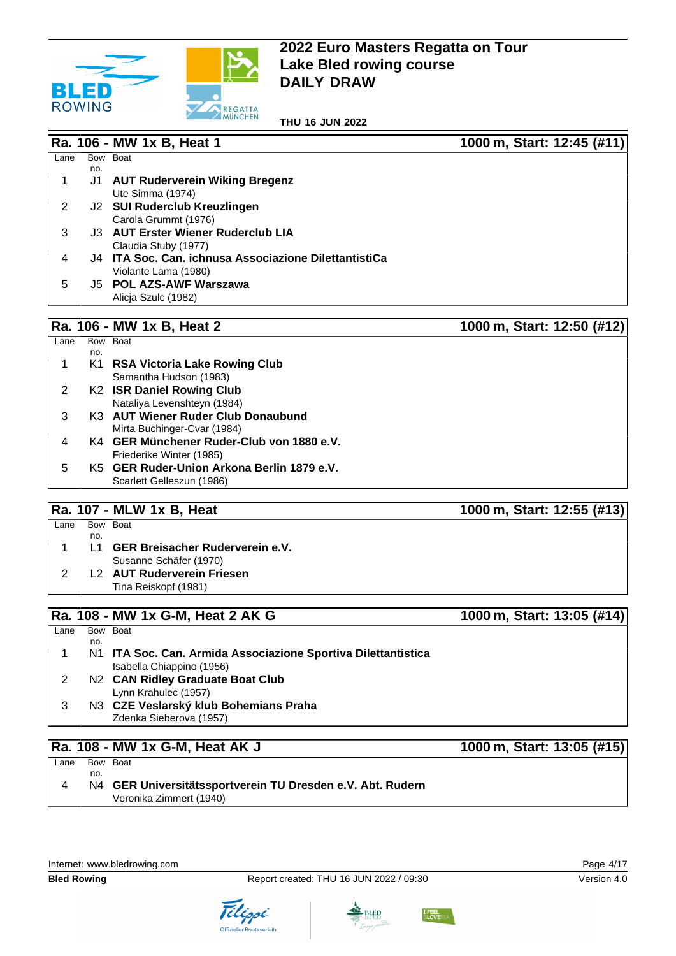

**THU 16 JUN 2022**

|      |     | Ra. 106 - MW 1x B, Heat 1                             | 1000 m, Start: 12:45 (#11) |
|------|-----|-------------------------------------------------------|----------------------------|
| Lane |     | Bow Boat                                              |                            |
|      | no. |                                                       |                            |
|      | J1. | AUT Ruderverein Wiking Bregenz                        |                            |
|      |     | Ute Simma (1974)                                      |                            |
| 2    |     | J2 SUI Ruderclub Kreuzlingen                          |                            |
|      |     | Carola Grummt (1976)                                  |                            |
| 3    |     | J3 AUT Erster Wiener Ruderclub LIA                    |                            |
|      |     | Claudia Stuby (1977)                                  |                            |
| 4    |     | J4 ITA Soc. Can. ichnusa Associazione DilettantistiCa |                            |
|      |     | Violante Lama (1980)                                  |                            |
| 5    |     | J5 POL AZS-AWF Warszawa                               |                            |
|      |     | Alicia Szulc (1982)                                   |                            |

#### **Ra. 106 - MW 1x B, Heat 2 1000 m, Start: 12:50 (#12)**

| Lane |     | Bow Boat                                   |
|------|-----|--------------------------------------------|
|      | no. |                                            |
|      |     | K1 RSA Victoria Lake Rowing Club           |
|      |     | Samantha Hudson (1983)                     |
|      |     | K2 ISR Daniel Rowing Club                  |
|      |     | Nataliya Levenshteyn (1984)                |
| 3    |     | K3 AUT Wiener Ruder Club Donaubund         |
|      |     | Mirta Buchinger-Cvar (1984)                |
| 4    |     | K4 GER Münchener Ruder-Club von 1880 e.V.  |
|      |     | Friederike Winter (1985)                   |
| 5    |     | K5 GER Ruder-Union Arkona Berlin 1879 e.V. |
|      |     | Scarlett Gelleszun (1986)                  |

### **Ra. 107 - MLW 1x B, Heat 1000 m, Start: 12:55 (#13)**

| Lane | Bow Boat |                                    |
|------|----------|------------------------------------|
|      | no.      |                                    |
|      |          | L1 GER Breisacher Ruderverein e.V. |
|      |          | Susanne Schäfer (1970)             |
|      |          | L2 AUT Ruderverein Friesen         |
|      |          | Tina Reiskopf (1981)               |
|      |          |                                    |

# **Ra. 108 - MW 1x G-M, Heat 2 AK G 1000 m, Start: 13:05 (#14)**

| Lane |     | Bow Boat                                                                                   |
|------|-----|--------------------------------------------------------------------------------------------|
|      | no. |                                                                                            |
| 1    |     | N1 ITA Soc. Can. Armida Associazione Sportiva Dilettantistica<br>Isabella Chiappino (1956) |
|      |     | N2 CAN Ridley Graduate Boat Club<br>Lynn Krahulec (1957)                                   |
| 3    |     | N3 CZE Veslarský klub Bohemians Praha<br>Zdenka Sieberova (1957)                           |

#### **Ra. 108 - MW 1x G-M, Heat AK J 1000 m, Start: 13:05 (#15)** Lane Bow Boat no. 4 N4 **GER Universitätssportverein TU Dresden e.V. Abt. Rudern**

Veronika Zimmert (1940)







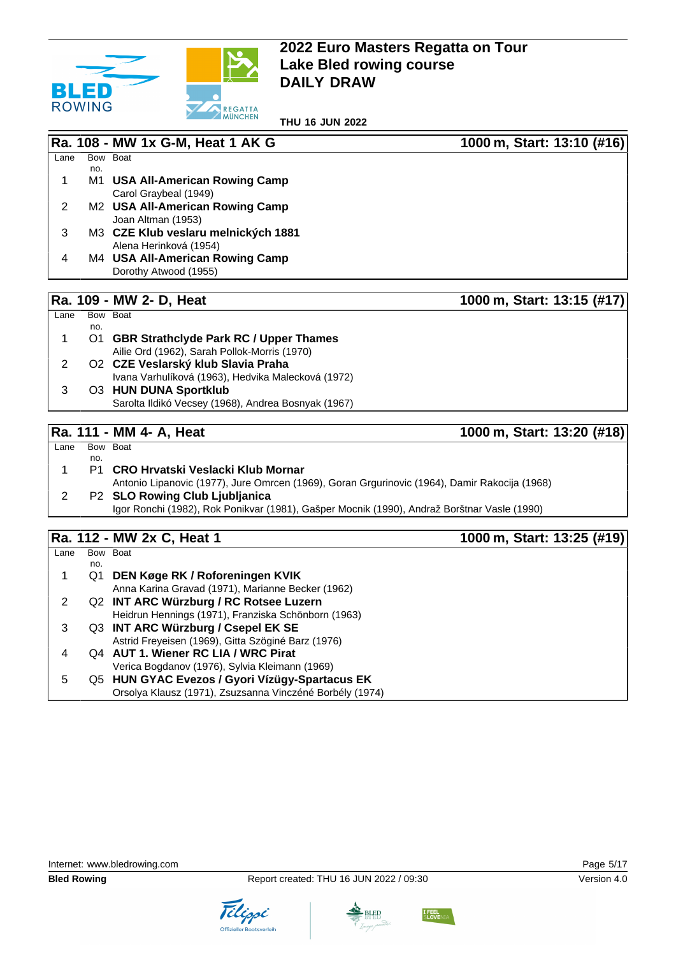

**THU 16 JUN 2022**

|      |            | Ra. 108 - MW 1x G-M, Heat 1 AK G       | 1000 m, Start: 13:10 (#16) |
|------|------------|----------------------------------------|----------------------------|
| Lane |            | Bow Boat                               |                            |
|      | no.        |                                        |                            |
|      | M1         | USA All-American Rowing Camp           |                            |
|      |            | Carol Graybeal (1949)                  |                            |
| 2    |            | M2 USA All-American Rowing Camp        |                            |
|      |            | Joan Altman (1953)                     |                            |
| 3    |            | M3 CZE Klub veslaru melnických 1881    |                            |
|      |            | Alena Herinková (1954)                 |                            |
| 4    |            | M4 USA All-American Rowing Camp        |                            |
|      |            | Dorothy Atwood (1955)                  |                            |
|      |            |                                        |                            |
|      |            | Ra. 109 - MW 2- D, Heat                | 1000 m, Start: 13:15 (#17) |
| Lane |            | Bow Boat                               |                            |
|      | no.        |                                        |                            |
|      | <b>O</b> 1 | CBD Strathclude Dark DC / Honor Thames |                            |

1 O1 **GBR Strathclyde Park RC / Upper Thames** Ailie Ord (1962), Sarah Pollok-Morris (1970) 2 O2 **CZE Veslarský klub Slavia Praha** Ivana Varhulíková (1963), Hedvika Malecková (1972) 3 O3 **HUN DUNA Sportklub** Sarolta Ildikó Vecsey (1968), Andrea Bosnyak (1967)

## **Ra. 111 - MM 4- A, Heat 1000 m, Start: 13:20 (#18)**

 $Lane$ no. Bow Boat 1 P1 **CRO Hrvatski Veslacki Klub Mornar** Antonio Lipanovic (1977), Jure Omrcen (1969), Goran Grgurinovic (1964), Damir Rakocija (1968) 2 P2 **SLO Rowing Club Ljubljanica** Igor Ronchi (1982), Rok Ponikvar (1981), Gašper Mocnik (1990), Andraž Borštnar Vasle (1990)

# **Ra. 112 - MW 2x C, Heat 1 1000 m, Start: 13:25 (#19)**

|      |     | $11.41$ $1.4$ $1.1111$ $1.41$ $1.1901$ $1.1$             | $19991111$ $0.00111$ $19140$ $1010$ |
|------|-----|----------------------------------------------------------|-------------------------------------|
| Lane |     | Bow Boat                                                 |                                     |
|      | no. |                                                          |                                     |
|      | Q1  | DEN Køge RK / Roforeningen KVIK                          |                                     |
|      |     | Anna Karina Gravad (1971), Marianne Becker (1962)        |                                     |
|      |     | Q2 INT ARC Würzburg / RC Rotsee Luzern                   |                                     |
|      |     | Heidrun Hennings (1971), Franziska Schönborn (1963)      |                                     |
|      |     | Q3 INT ARC Würzburg / Csepel EK SE                       |                                     |
|      |     | Astrid Freyeisen (1969), Gitta Szöginé Barz (1976)       |                                     |
| 4    |     | Q4 AUT 1. Wiener RC LIA / WRC Pirat                      |                                     |
|      |     | Verica Bogdanov (1976), Sylvia Kleimann (1969)           |                                     |
| 5    |     | Q5 HUN GYAC Evezos / Gyori Vízügy-Spartacus EK           |                                     |
|      |     | Orsolya Klausz (1971), Zsuzsanna Vinczéné Borbély (1974) |                                     |



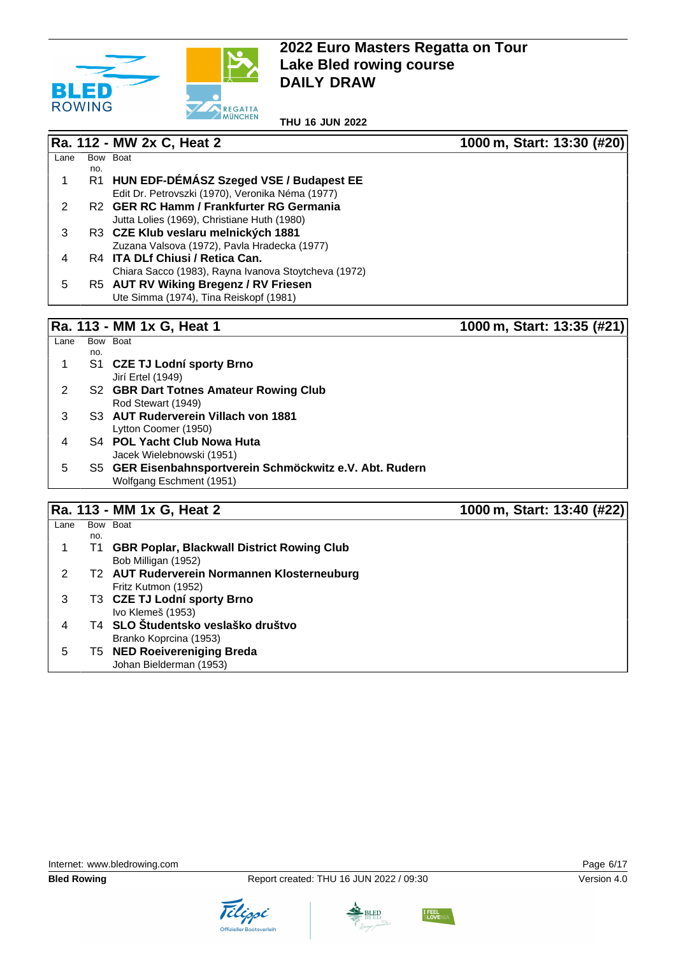

**THU 16 JUN 2022**

|      |      | Ra. 112 - MW 2x C, Heat 2                            | 1000 m, Start: 13:30 (#20)     |
|------|------|------------------------------------------------------|--------------------------------|
| Lane |      | Bow Boat                                             |                                |
|      | no.  |                                                      |                                |
|      | R1   | HUN EDF-DÉMÁSZ Szeged VSE / Budapest EE              |                                |
|      |      | Edit Dr. Petrovszki (1970), Veronika Néma (1977)     |                                |
| 2    |      | R2 GER RC Hamm / Frankfurter RG Germania             |                                |
|      |      | Jutta Lolies (1969), Christiane Huth (1980)          |                                |
| 3    |      | R3 CZE Klub veslaru melnických 1881                  |                                |
|      |      | Zuzana Valsova (1972), Pavla Hradecka (1977)         |                                |
| 4    |      | R4 ITA DLf Chiusi / Retica Can.                      |                                |
|      |      | Chiara Sacco (1983), Rayna Ivanova Stoytcheva (1972) |                                |
| 5    |      | R5 AUT RV Wiking Bregenz / RV Friesen                |                                |
|      |      | Ute Simma (1974), Tina Reiskopf (1981)               |                                |
|      |      |                                                      |                                |
| в.   | 44 O | <b>MAN 4 <math>\bigwedge</math></b> 114              | $4000 \dots 04241 49.95 14041$ |

#### **Ra. 113 - MM 1x G, Heat 1 1000 m, Start: 13:35 (#21)**

| Lane |     | Bow Boat                                                 |
|------|-----|----------------------------------------------------------|
|      | no. |                                                          |
|      |     | S1 CZE TJ Lodní sporty Brno                              |
|      |     | Jirí Ertel (1949)                                        |
| 2    |     | S2 GBR Dart Totnes Amateur Rowing Club                   |
|      |     | Rod Stewart (1949)                                       |
| 3    |     | S3 AUT Ruderverein Villach von 1881                      |
|      |     | Lytton Coomer (1950)                                     |
| 4    |     | S4 POL Yacht Club Nowa Huta                              |
|      |     | Jacek Wielebnowski (1951)                                |
| 5    |     | S5 GER Eisenbahnsportverein Schmöckwitz e.V. Abt. Rudern |
|      |     | Wolfgang Eschment (1951)                                 |

**Ra. 113 - MM 1x G, Heat 2 1000 m, Start: 13:40 (#22)**  $Lane$ no. Bow Boat 1 T1 **GBR Poplar, Blackwall District Rowing Club** Bob Milligan (1952) 2 T2 **AUT Ruderverein Normannen Klosterneuburg** Fritz Kutmon (1952) 3 T3 **CZE TJ Lodní sporty Brno** Ivo Klemeš (1953) 4 T4 **SLO Študentsko veslaško društvo** Branko Koprcina (1953) 5 T5 **NED Roeivereniging Breda** Johan Bielderman (1953)



Tilippi



**BLED**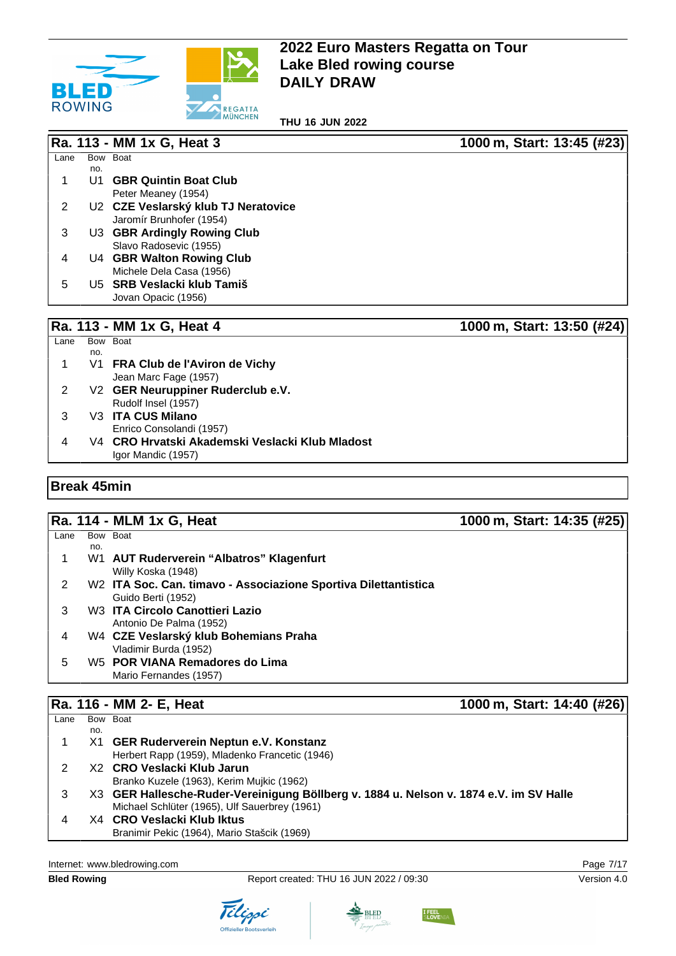

**THU 16 JUN 2022**

|      |           | Ra. 113 - MM 1x G, Heat 3           | 1000 m, Start: 13:45 (#23) |
|------|-----------|-------------------------------------|----------------------------|
| Lane |           | Bow Boat                            |                            |
|      | no.<br>U1 | <b>GBR Quintin Boat Club</b>        |                            |
|      |           | Peter Meaney (1954)                 |                            |
| 2    |           | U2 CZE Veslarský klub TJ Neratovice |                            |
|      |           | Jaromír Brunhofer (1954)            |                            |
| 3    |           | U3 GBR Ardingly Rowing Club         |                            |
|      |           | Slavo Radosevic (1955)              |                            |
| 4    |           | U4 GBR Walton Rowing Club           |                            |
|      |           | Michele Dela Casa (1956)            |                            |
| 5    |           | U5 SRB Veslacki klub Tamiš          |                            |
|      |           | Jovan Opacic (1956)                 |                            |

#### **Ra. 113 - MM 1x G, Heat 4 1000 m, Start: 13:50 (#24)**

| Lane |     | Bow Boat                                        |
|------|-----|-------------------------------------------------|
|      | no. |                                                 |
| 1    |     | V1 FRA Club de l'Aviron de Vichy                |
|      |     | Jean Marc Fage (1957)                           |
| 2    |     | V2 GER Neuruppiner Ruderclub e.V.               |
|      |     | Rudolf Insel (1957)                             |
| 3    |     | V3 ITA CUS Milano                               |
|      |     | Enrico Consolandi (1957)                        |
|      |     | V4 CRO Hrvatski Akademski Veslacki Klub Mladost |
|      |     | Igor Mandic (1957)                              |

### **Break 45min**

# **Ra. 114 - MLM 1x G, Heat 1000 m, Start: 14:35 (#25)**

| Lane |     | Bow Boat                                                        |
|------|-----|-----------------------------------------------------------------|
|      | no. |                                                                 |
|      |     | W1 AUT Ruderverein "Albatros" Klagenfurt                        |
|      |     | Willy Koska (1948)                                              |
| 2    |     | W2 ITA Soc. Can. timavo - Associazione Sportiva Dilettantistica |
|      |     | Guido Berti (1952)                                              |
| 3    |     | W3 ITA Circolo Canottieri Lazio                                 |
|      |     | Antonio De Palma (1952)                                         |
| 4    |     | W4 CZE Veslarský klub Bohemians Praha                           |
|      |     | Vladimir Burda (1952)                                           |
| 5    |     | W5 POR VIANA Remadores do Lima                                  |
|      |     | Mario Fernandes (1957)                                          |
|      |     |                                                                 |

# **Ra. 116 - MM 2- E, Heat 1000 m, Start: 14:40 (#26)**

| Lane |     | Bow Boat                                                                               |
|------|-----|----------------------------------------------------------------------------------------|
|      | no. |                                                                                        |
|      |     | X1 GER Ruderverein Neptun e.V. Konstanz                                                |
|      |     | Herbert Rapp (1959), Mladenko Francetic (1946)                                         |
|      |     | X2 CRO Veslacki Klub Jarun                                                             |
|      |     | Branko Kuzele (1963), Kerim Mujkic (1962)                                              |
|      |     | X3 GER Hallesche-Ruder-Vereinigung Böllberg v. 1884 u. Nelson v. 1874 e.V. im SV Halle |
|      |     | Michael Schlüter (1965), Ulf Sauerbrey (1961)                                          |
| 4    |     | X4 CRO Veslacki Klub Iktus                                                             |
|      |     | Branimir Pekic (1964), Mario Stašcik (1969)                                            |
|      |     |                                                                                        |

Internet: [www.bledrowing.com](http://www.bledrowing.com) **Page 7/17** 

**Bled Rowing Report created: THU 16 JUN 2022 / 09:30 Version 4.0** Version 4.0







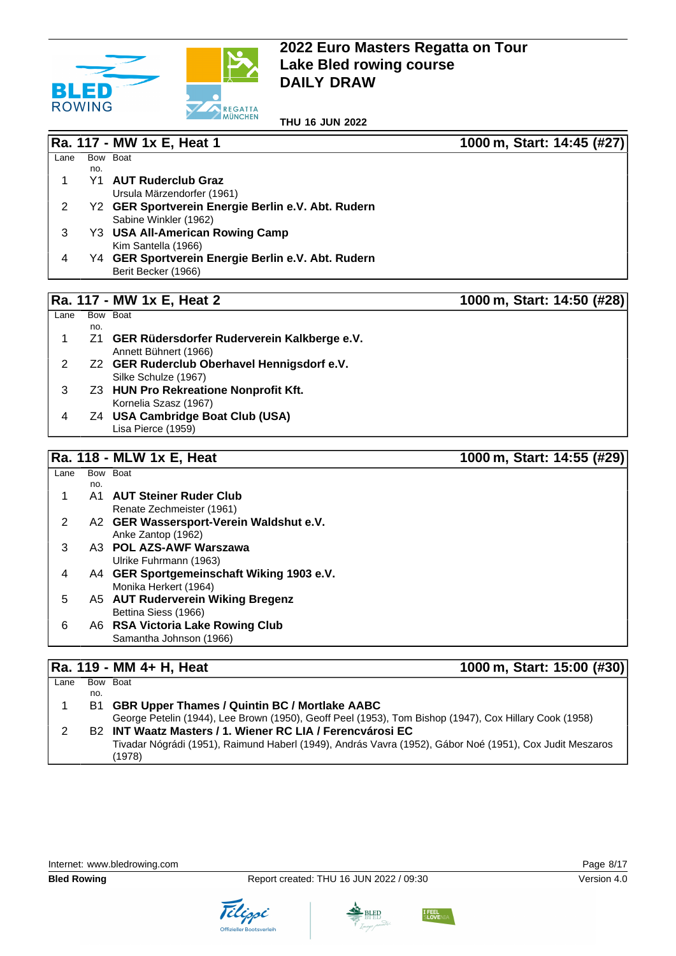

**THU 16 JUN 2022**

**Ra. 117 - MW 1x E, Heat 1 1000 m, Start: 14:45 (#27)**

| Lane           |     | Bow Boat                                           |                            |
|----------------|-----|----------------------------------------------------|----------------------------|
|                | no. |                                                    |                            |
| 1              |     | Y1 AUT Ruderclub Graz                              |                            |
|                |     | Ursula Märzendorfer (1961)                         |                            |
| $\overline{2}$ |     | Y2 GER Sportverein Energie Berlin e.V. Abt. Rudern |                            |
|                |     | Sabine Winkler (1962)                              |                            |
| 3              |     | Y3 USA All-American Rowing Camp                    |                            |
|                |     | Kim Santella (1966)                                |                            |
| 4              |     | Y4 GER Sportverein Energie Berlin e.V. Abt. Rudern |                            |
|                |     | Berit Becker (1966)                                |                            |
|                |     |                                                    |                            |
|                |     | Ra. 117 - MW 1x E, Heat 2                          | 1000 m, Start: 14:50 (#28) |
| Lane           |     | Bow Boat                                           |                            |
|                | no. |                                                    |                            |
| 1              | Z1  | GER Rüdersdorfer Ruderverein Kalkberge e.V.        |                            |
|                |     | Annett Bühnert (1966)                              |                            |
| $\overline{2}$ |     | Z2 GER Ruderclub Oberhavel Hennigsdorf e.V.        |                            |
|                |     | Silke Schulze (1967)                               |                            |
| 3              |     | Z3 HUN Pro Rekreatione Nonprofit Kft.              |                            |
|                |     | Kornelia Szasz (1967)                              |                            |
| 4              |     | Z4 USA Cambridge Boat Club (USA)                   |                            |
|                |     | Lisa Pierce (1959)                                 |                            |
|                |     |                                                    |                            |
|                |     | Ra. 118 - MLW 1x E, Heat                           | 1000 m, Start: 14:55 (#29) |
| Lane           |     | Bow Boat                                           |                            |
|                | no. |                                                    |                            |
| 1              |     | A1 AUT Steiner Ruder Club                          |                            |
|                |     | Renate Zechmeister (1961)                          |                            |
| $\overline{c}$ |     | A2 GER Wassersport-Verein Waldshut e.V.            |                            |
|                |     | Anke Zantop (1962)                                 |                            |
| 3              |     | A3 POL AZS-AWF Warszawa                            |                            |
|                |     | Ulrike Fuhrmann (1963)                             |                            |
| 4              |     | A4 GER Sportgemeinschaft Wiking 1903 e.V.          |                            |
|                |     | Monika Herkert (1964)                              |                            |
| 5              |     | A5 AUT Ruderverein Wiking Bregenz                  |                            |
|                |     | Bettina Siess (1966)                               |                            |
| 6              |     | A6 RSA Victoria Lake Rowing Club                   |                            |

# **Ra. 119 - MM 4+ H, Heat 1000 m, Start: 15:00 (#30)**

Samantha Johnson (1966)

| Lane |     | Bow Boat                                                                                                           |
|------|-----|--------------------------------------------------------------------------------------------------------------------|
|      | no. |                                                                                                                    |
|      |     | B1 GBR Upper Thames / Quintin BC / Mortlake AABC                                                                   |
|      |     | George Petelin (1944), Lee Brown (1950), Geoff Peel (1953), Tom Bishop (1947), Cox Hillary Cook (1958)             |
|      |     | B2 INT Waatz Masters / 1. Wiener RC LIA / Ferencyárosi EC                                                          |
|      |     | Tivadar Nógrádi (1951), Raimund Haberl (1949), András Vavra (1952), Gábor Noé (1951), Cox Judit Meszaros<br>(1978) |





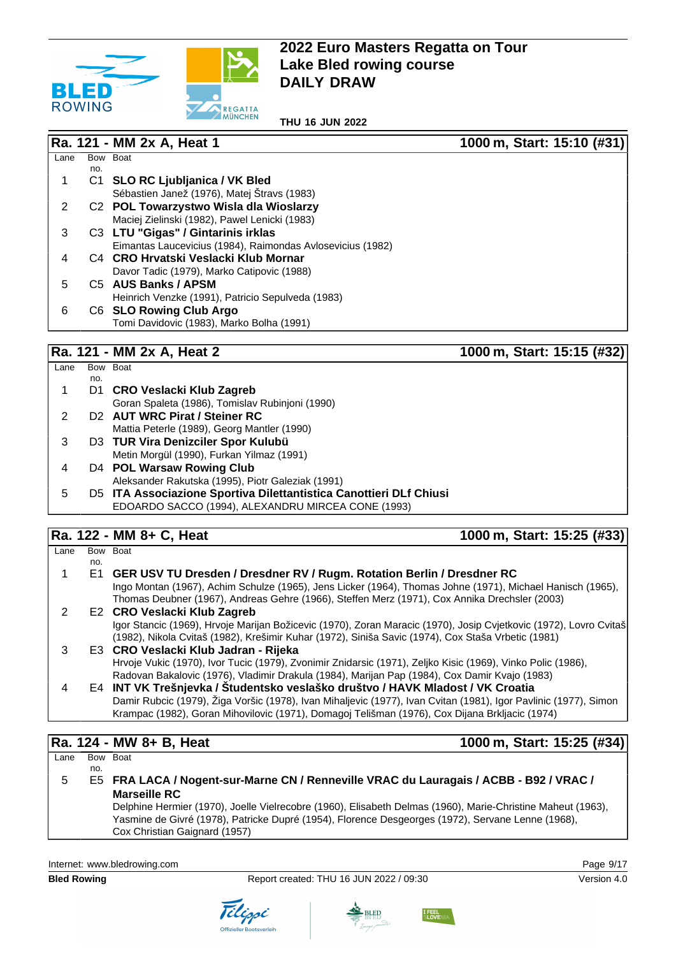

**THU 16 JUN 2022**

#### **Ra. 121 - MM 2x A, Heat 1 1000 m, Start: 15:10 (#31)**  $Lane$ no. Bow Boat 1 C1 **SLO RC Ljubljanica / VK Bled** Sébastien Janež (1976), Matej Štravs (1983) 2 C2 **POL Towarzystwo Wisla dla Wioslarzy** Maciej Zielinski (1982), Pawel Lenicki (1983) 3 C3 **LTU "Gigas" / Gintarinis irklas** Eimantas Laucevicius (1984), Raimondas Avlosevicius (1982) 4 C4 **CRO Hrvatski Veslacki Klub Mornar** Davor Tadic (1979), Marko Catipovic (1988) 5 C5 **AUS Banks / APSM** Heinrich Venzke (1991), Patricio Sepulveda (1983) 6 C6 **SLO Rowing Club Argo** Tomi Davidovic (1983), Marko Bolha (1991)

# **Ra. 121 - MM 2x A, Heat 2 1000 m, Start: 15:15 (#32)**

| Lane |     | Bow Boat                                                           |
|------|-----|--------------------------------------------------------------------|
|      | no. |                                                                    |
|      |     | D1 CRO Veslacki Klub Zagreb                                        |
|      |     | Goran Spaleta (1986), Tomislav Rubinjoni (1990)                    |
|      |     | D <sub>2</sub> AUT WRC Pirat / Steiner RC                          |
|      |     | Mattia Peterle (1989), Georg Mantler (1990)                        |
| 3    |     | D3 TUR Vira Denizciler Spor Kulubü                                 |
|      |     | Metin Morgül (1990), Furkan Yilmaz (1991)                          |
| 4    |     | D4 POL Warsaw Rowing Club                                          |
|      |     | Aleksander Rakutska (1995), Piotr Galeziak (1991)                  |
| 5    |     | D5 ITA Associazione Sportiva Dilettantistica Canottieri DLf Chiusi |
|      |     | EDOARDO SACCO (1994), ALEXANDRU MIRCEA CONE (1993)                 |
|      |     |                                                                    |

### **Ra. 122 - MM 8+ C, Heat 1000 m, Start: 15:25 (#33)**

| Lane |     | Bow Boat                                                                                                          |
|------|-----|-------------------------------------------------------------------------------------------------------------------|
|      | no. |                                                                                                                   |
|      |     | E1 GER USV TU Dresden / Dresdner RV / Rugm. Rotation Berlin / Dresdner RC                                         |
|      |     | Ingo Montan (1967), Achim Schulze (1965), Jens Licker (1964), Thomas Johne (1971), Michael Hanisch (1965),        |
|      |     | Thomas Deubner (1967), Andreas Gehre (1966), Steffen Merz (1971), Cox Annika Drechsler (2003)                     |
| 2    |     | E2 CRO Veslacki Klub Zagreb                                                                                       |
|      |     | Igor Stancic (1969), Hrvoje Marijan Božicevic (1970), Zoran Maracic (1970), Josip Cvjetkovic (1972), Lovro Cvitaš |
|      |     | (1982), Nikola Cvitaš (1982), Krešimir Kuhar (1972), Siniša Savic (1974), Cox Staša Vrbetic (1981)                |
| 3    |     | E3 CRO Veslacki Klub Jadran - Rijeka                                                                              |
|      |     | Hrvoje Vukic (1970), Ivor Tucic (1979), Zvonimir Znidarsic (1971), Zeljko Kisic (1969), Vinko Polic (1986),       |
|      |     | Radovan Bakalovic (1976), Vladimir Drakula (1984), Marijan Pap (1984), Cox Damir Kvajo (1983)                     |
|      |     | E4 INT VK Trešnjevka / Študentsko veslaško društvo / HAVK Mladost / VK Croatia                                    |
|      |     | Damir Rubcic (1979), Žiga Voršic (1978), Ivan Mihaljevic (1977), Ivan Cvitan (1981), Igor Pavlinic (1977), Simon  |
|      |     | Krampac (1982), Goran Mihovilovic (1971), Domagoj Telišman (1976), Cox Dijana Brkljacic (1974)                    |
|      |     |                                                                                                                   |

#### **Ra. 124 - MW 8+ B, Heat 1000 m, Start: 15:25 (#34)** Lane Bow Boat no. 5 E5 **FRA LACA / Nogent-sur-Marne CN / Renneville VRAC du Lauragais / ACBB - B92 / VRAC / Marseille RC** Delphine Hermier (1970), Joelle Vielrecobre (1960), Elisabeth Delmas (1960), Marie-Christine Maheut (1963), Yasmine de Givré (1978), Patricke Dupré (1954), Florence Desgeorges (1972), Servane Lenne (1968), Cox Christian Gaignard (1957)

Internet: [www.bledrowing.com](http://www.bledrowing.com) Page 9/17









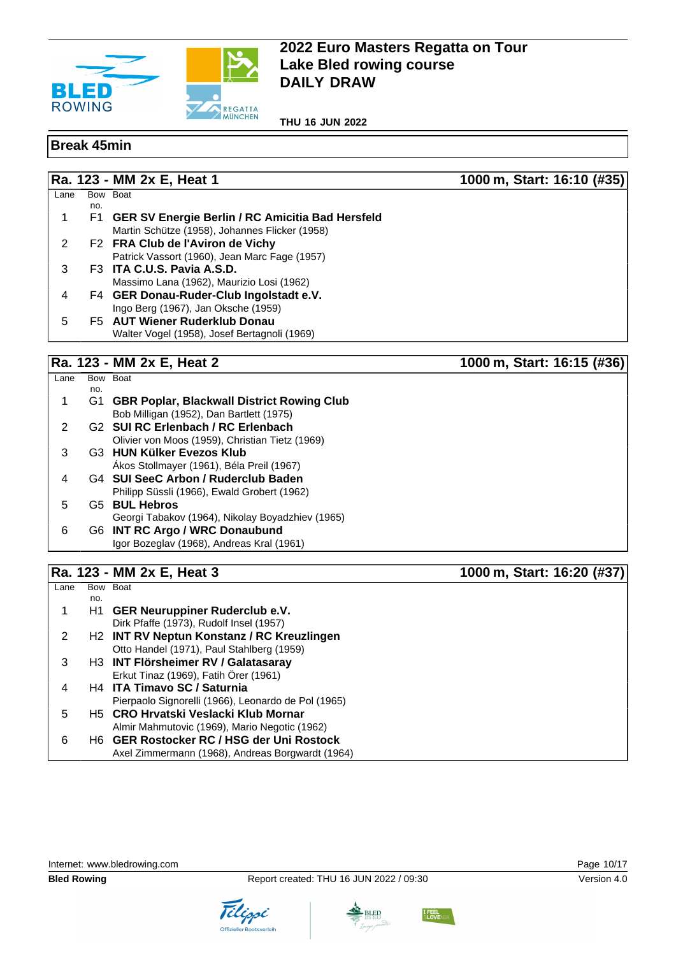

**THU 16 JUN 2022**

#### **Break 45min**

Lane Bow Boat

**Ra. 123 - MM 2x E, Heat 1 1000 m, Start: 16:10 (#35)**

|               | no. |                                                     |
|---------------|-----|-----------------------------------------------------|
| 1             |     | F1 GER SV Energie Berlin / RC Amicitia Bad Hersfeld |
|               |     | Martin Schütze (1958), Johannes Flicker (1958)      |
| $\mathcal{P}$ |     | F2 FRA Club de l'Aviron de Vichy                    |
|               |     | Patrick Vassort (1960), Jean Marc Fage (1957)       |
| 3             |     | F3 ITA C.U.S. Pavia A.S.D.                          |
|               |     | Massimo Lana (1962), Maurizio Losi (1962)           |
| 4             |     | F4 GER Donau-Ruder-Club Ingolstadt e.V.             |
|               |     | Ingo Berg (1967), Jan Oksche (1959)                 |
| 5             |     | F5 AUT Wiener Ruderklub Donau                       |
|               |     | Walter Vogel (1958), Josef Bertagnoli (1969)        |

### **Ra. 123 - MM 2x E, Heat 2 1000 m, Start: 16:15 (#36)**

Lane Bow Boat no. 1 G1 **GBR Poplar, Blackwall District Rowing Club** Bob Milligan (1952), Dan Bartlett (1975) 2 G2 **SUI RC Erlenbach / RC Erlenbach** Olivier von Moos (1959), Christian Tietz (1969) 3 G3 **HUN Külker Evezos Klub** Ákos Stollmayer (1961), Béla Preil (1967) 4 G4 **SUI SeeC Arbon / Ruderclub Baden** Philipp Süssli (1966), Ewald Grobert (1962) 5 G5 **BUL Hebros** Georgi Tabakov (1964), Nikolay Boyadzhiev (1965) 6 G6 **INT RC Argo / WRC Donaubund** Igor Bozeglav (1968), Andreas Kral (1961)

# **Ra. 123 - MM 2x E, Heat 3 1000 m, Start: 16:20 (#37)**

| Lane |     | Bow Boat                                               |
|------|-----|--------------------------------------------------------|
|      | no. |                                                        |
|      | H1  | <b>GER Neuruppiner Ruderclub e.V.</b>                  |
|      |     | Dirk Pfaffe (1973), Rudolf Insel (1957)                |
| 2    |     | H <sub>2</sub> INT RV Neptun Konstanz / RC Kreuzlingen |
|      |     | Otto Handel (1971), Paul Stahlberg (1959)              |
| 3    |     | H3 INT Flörsheimer RV / Galatasaray                    |
|      |     | Erkut Tinaz (1969), Fatih Örer (1961)                  |
|      |     | H4 ITA Timavo SC / Saturnia                            |
|      |     | Pierpaolo Signorelli (1966), Leonardo de Pol (1965)    |
| 5    |     | H5 CRO Hrvatski Veslacki Klub Mornar                   |
|      |     | Almir Mahmutovic (1969), Mario Negotic (1962)          |
| 6    |     | H6 GER Rostocker RC / HSG der Uni Rostock              |
|      |     | Axel Zimmermann (1968), Andreas Borgwardt (1964)       |



Tilippi



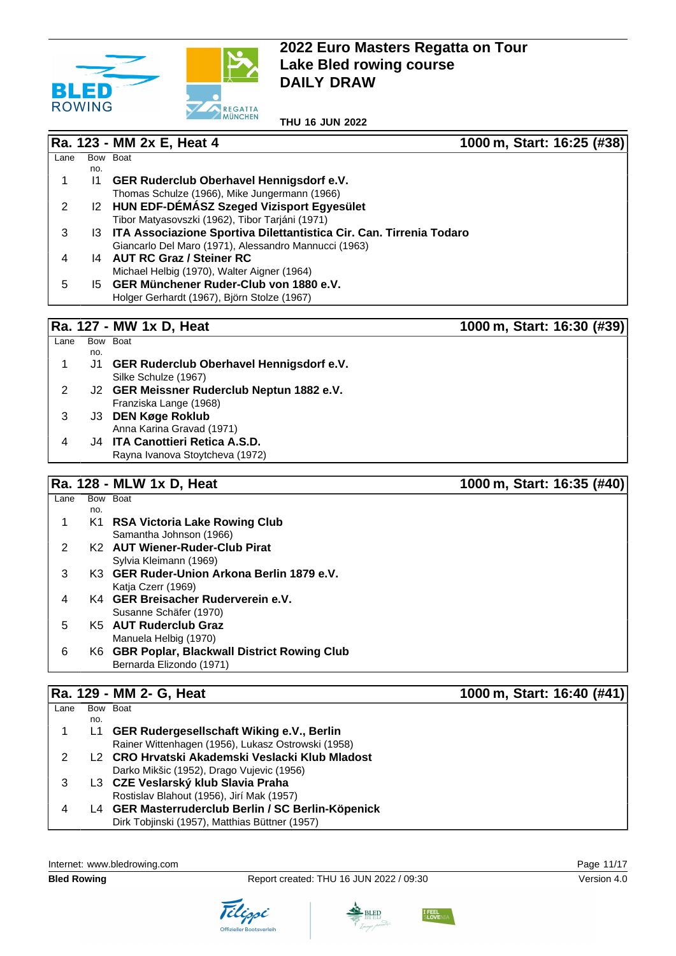

**THU 16 JUN 2022**

|      |              | Ra. 123 - MM 2x E, Heat 4                                              | 1000 m, Start: 16:25 (#38) |
|------|--------------|------------------------------------------------------------------------|----------------------------|
| Lane |              | Bow Boat                                                               |                            |
|      | no.          |                                                                        |                            |
|      | $\mathsf{I}$ | GER Ruderclub Oberhavel Hennigsdorf e.V.                               |                            |
|      |              | Thomas Schulze (1966), Mike Jungermann (1966)                          |                            |
| 2    |              | 12 HUN EDF-DEMASZ Szeged Vizisport Egyesület                           |                            |
|      |              | Tibor Matyasovszki (1962), Tibor Tarjáni (1971)                        |                            |
| 3    |              | 13 ITA Associazione Sportiva Dilettantistica Cir. Can. Tirrenia Todaro |                            |
|      |              | Giancarlo Del Maro (1971), Alessandro Mannucci (1963)                  |                            |
| 4    | 14           | <b>AUT RC Graz / Steiner RC</b>                                        |                            |
|      |              | Michael Helbig (1970), Walter Aigner (1964)                            |                            |
| 5    |              | 15 GER Münchener Ruder-Club von 1880 e.V.                              |                            |
|      |              | Holger Gerhardt (1967), Björn Stolze (1967)                            |                            |
|      |              |                                                                        |                            |
|      |              | Ra. 127 - MW 1x D, Heat                                                | 1000 m, Start: 16:30 (#39) |

| Lane | <b>Bow</b> | <b>Boat</b>                                 |
|------|------------|---------------------------------------------|
|      | no.        |                                             |
| 1    |            | J1 GER Ruderclub Oberhavel Hennigsdorf e.V. |
|      |            | Silke Schulze (1967)                        |
| 2    |            | J2 GER Meissner Ruderclub Neptun 1882 e.V.  |
|      |            | Franziska Lange (1968)                      |
| 3    |            | J3 DEN Køge Roklub                          |
|      |            | Anna Karina Gravad (1971)                   |
| 4    |            | J4 ITA Canottieri Retica A.S.D.             |
|      |            | Rayna Ivanova Stoytcheva (1972)             |

## **Ra. 128 - MLW 1x D, Heat 1000 m, Start: 16:35 (#40)**

| no.<br>K1 | <b>RSA Victoria Lake Rowing Club</b><br>Samantha Johnson (1966)<br>K <sub>2</sub> AUT Wiener-Ruder-Club Pirat |
|-----------|---------------------------------------------------------------------------------------------------------------|
|           |                                                                                                               |
|           |                                                                                                               |
|           |                                                                                                               |
|           | Sylvia Kleimann (1969)                                                                                        |
| 3         | K3 GER Ruder-Union Arkona Berlin 1879 e.V.                                                                    |
|           | Katja Czerr (1969)                                                                                            |
|           | K4 GER Breisacher Ruderverein e.V.                                                                            |
|           | Susanne Schäfer (1970)                                                                                        |
| 5         | K5 AUT Ruderclub Graz                                                                                         |
|           | Manuela Helbig (1970)                                                                                         |
| 6         | K6 GBR Poplar, Blackwall District Rowing Club                                                                 |
|           | Bernarda Elizondo (1971)                                                                                      |

# **Ra. 129 - MM 2- G, Heat 1000 m, Start: 16:40 (#41)**

| Lane |     | Bow Boat                                           |
|------|-----|----------------------------------------------------|
|      | no. |                                                    |
|      | L1  | <b>GER Rudergesellschaft Wiking e.V., Berlin</b>   |
|      |     | Rainer Wittenhagen (1956), Lukasz Ostrowski (1958) |
|      |     | L2 CRO Hrvatski Akademski Veslacki Klub Mladost    |
|      |     | Darko Mikšic (1952), Drago Vujevic (1956)          |
|      |     | L3 CZE Veslarský klub Slavia Praha                 |
|      |     | Rostislav Blahout (1956), Jirí Mak (1957)          |
|      |     | L4 GER Masterruderclub Berlin / SC Berlin-Köpenick |
|      |     | Dirk Tobjinski (1957), Matthias Büttner (1957)     |
|      |     |                                                    |







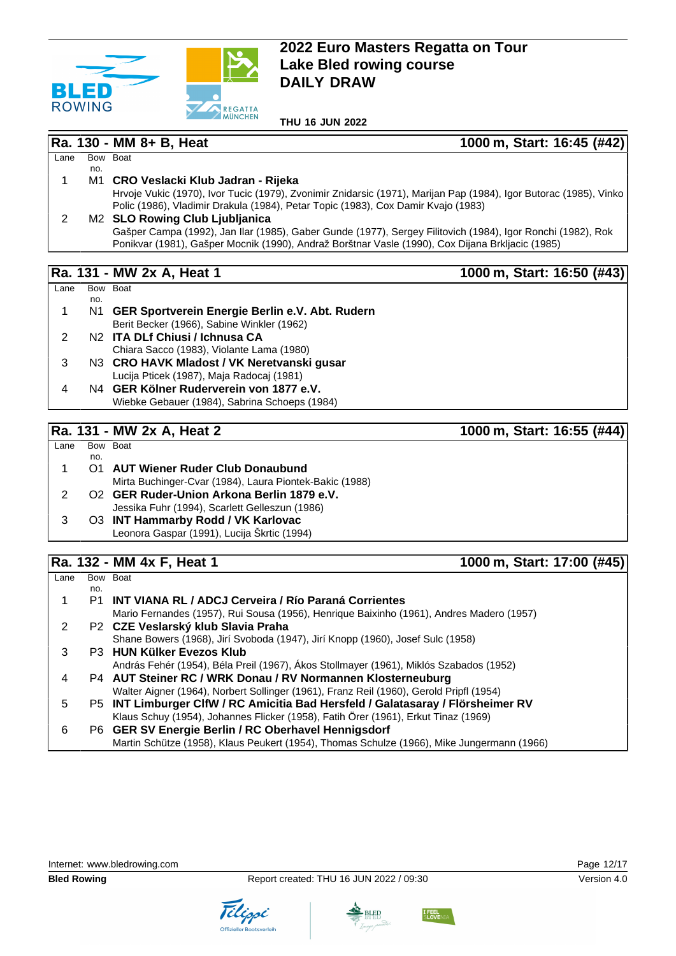

**THU 16 JUN 2022**

**Ra. 130 - MM 8+ B, Heat 1000 m, Start: 16:45 (#42)**

#### $Lane$ no. Bow Boat 1 M1 **CRO Veslacki Klub Jadran - Rijeka** Hrvoje Vukic (1970), Ivor Tucic (1979), Zvonimir Znidarsic (1971), Marijan Pap (1984), Igor Butorac (1985), Vinko Polic (1986), Vladimir Drakula (1984), Petar Topic (1983), Cox Damir Kvajo (1983)

2 M2 **SLO Rowing Club Ljubljanica** Gašper Campa (1992), Jan Ilar (1985), Gaber Gunde (1977), Sergey Filitovich (1984), Igor Ronchi (1982), Rok Ponikvar (1981), Gašper Mocnik (1990), Andraž Borštnar Vasle (1990), Cox Dijana Brkljacic (1985)

## **Ra. 131 - MW 2x A, Heat 1 1000 m, Start: 16:50 (#43)**

| Lane |     | Bow Boat                                           |
|------|-----|----------------------------------------------------|
|      | no. |                                                    |
| 1    |     | N1 GER Sportverein Energie Berlin e.V. Abt. Rudern |
|      |     | Berit Becker (1966), Sabine Winkler (1962)         |
| 2    |     | N <sub>2</sub> ITA DLf Chiusi / Ichnusa CA         |
|      |     | Chiara Sacco (1983), Violante Lama (1980)          |
| 3    |     | N3 CRO HAVK Mladost / VK Neretvanski gusar         |
|      |     | Lucija Pticek (1987), Maja Radocaj (1981)          |
| 4    |     | N4 GER Kölner Ruderverein von 1877 e.V.            |
|      |     | Wiebke Gebauer (1984), Sabrina Schoeps (1984)      |

### **Ra. 131 - MW 2x A, Heat 2 1000 m, Start: 16:55 (#44)**

#### $\overline{I}$  ane no. Bow Boat 1 O1 **AUT Wiener Ruder Club Donaubund** Mirta Buchinger-Cvar (1984), Laura Piontek-Bakic (1988) 2 O2 **GER Ruder-Union Arkona Berlin 1879 e.V.** Jessika Fuhr (1994), Scarlett Gelleszun (1986) 3 O3 **INT Hammarby Rodd / VK Karlovac** Leonora Gaspar (1991), Lucija Škrtic (1994)

## **Ra. 132 - MM 4x F, Heat 1 1000 m, Start: 17:00 (#45)**

| Lane |     | Bow Boat                                                                                   |
|------|-----|--------------------------------------------------------------------------------------------|
|      | no. |                                                                                            |
|      |     | P1 INT VIANA RL / ADCJ Cerveira / Río Paraná Corrientes                                    |
|      |     | Mario Fernandes (1957), Rui Sousa (1956), Henrique Baixinho (1961), Andres Madero (1957)   |
| 2    |     | P2 CZE Veslarský klub Slavia Praha                                                         |
|      |     | Shane Bowers (1968), Jirí Svoboda (1947), Jirí Knopp (1960), Josef Sulc (1958)             |
| 3    |     | P3 HUN Külker Evezos Klub                                                                  |
|      |     | András Fehér (1954), Béla Preil (1967), Ákos Stollmayer (1961), Miklós Szabados (1952)     |
| 4    |     | P4 AUT Steiner RC / WRK Donau / RV Normannen Klosterneuburg                                |
|      |     | Walter Aigner (1964), Norbert Sollinger (1961), Franz Reil (1960), Gerold Pripfl (1954)    |
| 5    |     | P5 INT Limburger CIfW / RC Amicitia Bad Hersfeld / Galatasaray / Flörsheimer RV            |
|      |     | Klaus Schuy (1954), Johannes Flicker (1958), Fatih Örer (1961), Erkut Tinaz (1969)         |
| 6    |     | P6 GER SV Energie Berlin / RC Oberhavel Hennigsdorf                                        |
|      |     | Martin Schütze (1958), Klaus Peukert (1954), Thomas Schulze (1966), Mike Jungermann (1966) |

Internet: [www.bledrowing.com](http://www.bledrowing.com) Page 12/17







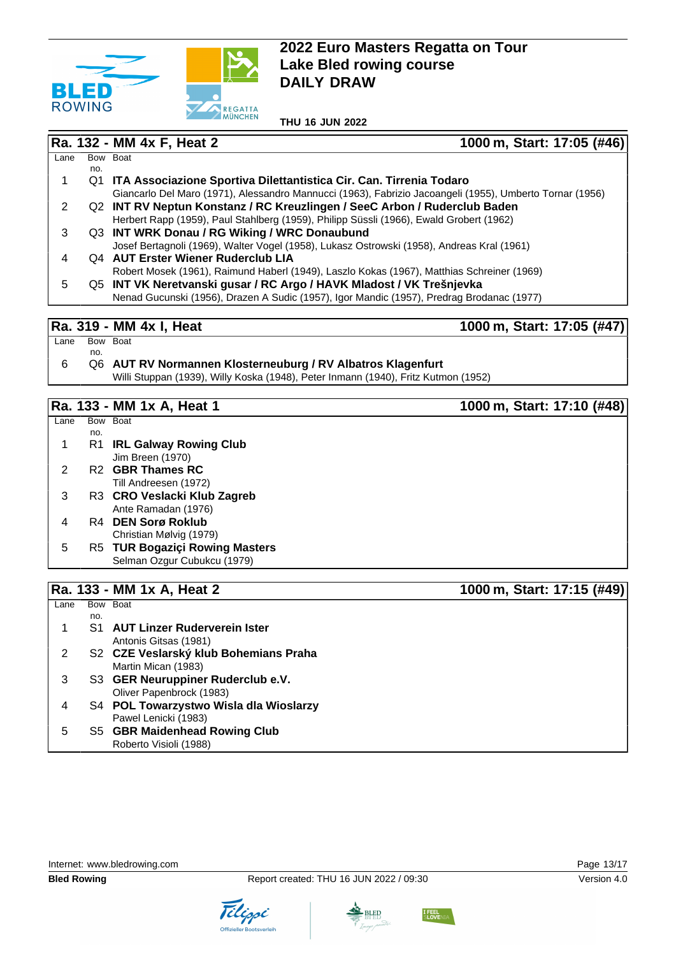

**THU 16 JUN 2022**

**Ra. 132 - MM 4x F, Heat 2 1000 m, Start: 17:05 (#46)**

| Lane |     | Bow Boat                                                                                                 |
|------|-----|----------------------------------------------------------------------------------------------------------|
|      | no. |                                                                                                          |
|      | Q1  | ITA Associazione Sportiva Dilettantistica Cir. Can. Tirrenia Todaro                                      |
|      |     | Giancarlo Del Maro (1971), Alessandro Mannucci (1963), Fabrizio Jacoangeli (1955), Umberto Tornar (1956) |
|      |     | Q2 INT RV Neptun Konstanz / RC Kreuzlingen / SeeC Arbon / Ruderclub Baden                                |
|      |     | Herbert Rapp (1959), Paul Stahlberg (1959), Philipp Süssli (1966), Ewald Grobert (1962)                  |
| З    |     | Q3 INT WRK Donau / RG Wiking / WRC Donaubund                                                             |
|      |     | Josef Bertagnoli (1969), Walter Vogel (1958), Lukasz Ostrowski (1958), Andreas Kral (1961)               |
|      |     | Q4 AUT Erster Wiener Ruderclub LIA                                                                       |
|      |     | Robert Mosek (1961), Raimund Haberl (1949), Laszlo Kokas (1967), Matthias Schreiner (1969)               |
| 5    |     | Q5 INT VK Neretvanski gusar / RC Argo / HAVK Mladost / VK Trešnjevka                                     |
|      |     | Nenad Gucunski (1956), Drazen A Sudic (1957), Igor Mandic (1957), Predrag Brodanac (1977)                |
|      |     |                                                                                                          |

#### **Ra. 319 - MM 4x I, Heat 1000 m, Start: 17:05 (#47)**

- Lane Bow Boat no.
- 6 Q6 **AUT RV Normannen Klosterneuburg / RV Albatros Klagenfurt** Willi Stuppan (1939), Willy Koska (1948), Peter Inmann (1940), Fritz Kutmon (1952)

#### **Ra. 133 - MM 1x A, Heat 1** 1000 m, Start: 17:10 (#48)

|      |     | Ra. 133 - MM 1x A, Heat 2      | 1000 m, Start: 17:15 (#49) |
|------|-----|--------------------------------|----------------------------|
|      |     |                                |                            |
|      |     | Selman Ozgur Cubukcu (1979)    |                            |
| 5    |     | R5 TUR Bogaziçi Rowing Masters |                            |
|      |     | Christian Mølvig (1979)        |                            |
| 4    |     | R4 DEN Sorø Roklub             |                            |
|      |     | Ante Ramadan (1976)            |                            |
| 3    |     | R3 CRO Veslacki Klub Zagreb    |                            |
|      |     | Till Andreesen (1972)          |                            |
| 2    |     | R <sub>2</sub> GBR Thames RC   |                            |
|      |     | Jim Breen (1970)               |                            |
|      | R1  | <b>IRL Galway Rowing Club</b>  |                            |
|      | no. |                                |                            |
| Lane |     | Bow Boat                       |                            |

| Lane |     | Bow Boat                               |
|------|-----|----------------------------------------|
|      | no. |                                        |
|      | S1  | <b>AUT Linzer Ruderverein Ister</b>    |
|      |     | Antonis Gitsas (1981)                  |
|      |     | S2 CZE Veslarský klub Bohemians Praha  |
|      |     | Martin Mican (1983)                    |
| З    |     | S3 GER Neuruppiner Ruderclub e.V.      |
|      |     | Oliver Papenbrock (1983)               |
| 4    |     | S4 POL Towarzystwo Wisla dla Wioslarzy |
|      |     | Pawel Lenicki (1983)                   |
| 5    |     | S5 GBR Maidenhead Rowing Club          |
|      |     | Roberto Visioli (1988)                 |

Internet: [www.bledrowing.com](http://www.bledrowing.com) **Page 13/17** 





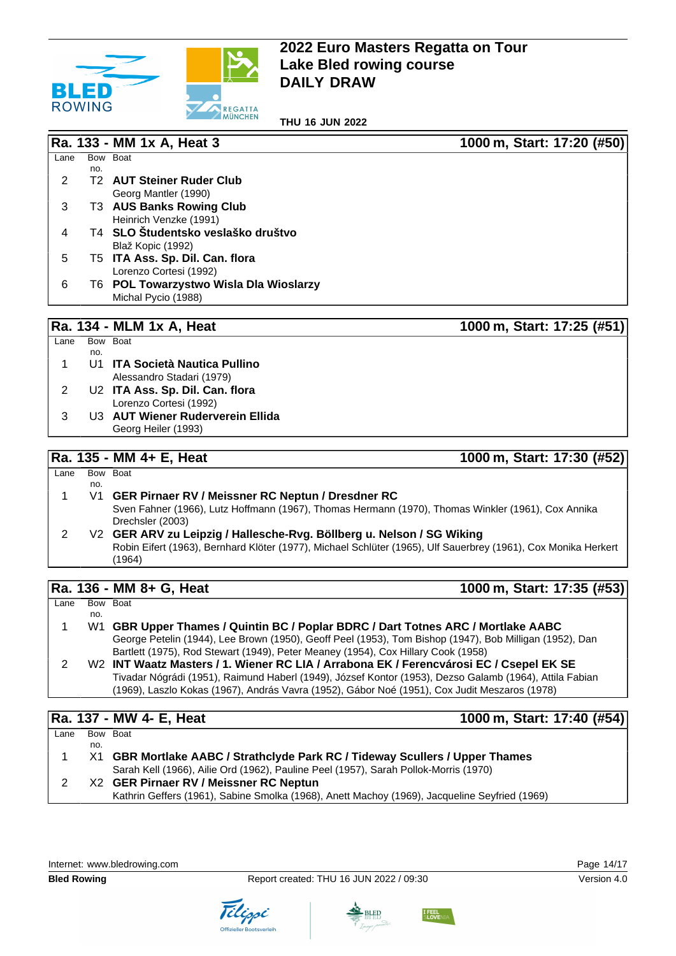

**THU 16 JUN 2022**

|                |     | 1000 m, Start: 17:20 (#50)<br>Ra. 133 - MM 1x A, Heat 3                                                        |
|----------------|-----|----------------------------------------------------------------------------------------------------------------|
| Lane           |     | Bow Boat                                                                                                       |
| 2              | no. | <b>T2 AUT Steiner Ruder Club</b>                                                                               |
|                |     | Georg Mantler (1990)                                                                                           |
| 3              |     | T3 AUS Banks Rowing Club                                                                                       |
|                |     | Heinrich Venzke (1991)                                                                                         |
| 4              |     | T4 SLO Študentsko veslaško društvo                                                                             |
|                |     | Blaž Kopic (1992)                                                                                              |
| 5              |     | T5 ITA Ass. Sp. Dil. Can. flora                                                                                |
|                |     | Lorenzo Cortesi (1992)                                                                                         |
| 6              |     | T6 POL Towarzystwo Wisla Dla Wioslarzy                                                                         |
|                |     | Michal Pycio (1988)                                                                                            |
|                |     |                                                                                                                |
|                |     | Ra. 134 - MLM 1x A, Heat<br>1000 m, Start: 17:25 (#51)                                                         |
| Lane           |     | Bow Boat                                                                                                       |
|                | no. |                                                                                                                |
| 1              |     | U1 ITA Società Nautica Pullino                                                                                 |
|                |     | Alessandro Stadari (1979)                                                                                      |
| $\overline{c}$ |     | U2 ITA Ass. Sp. Dil. Can. flora                                                                                |
|                |     | Lorenzo Cortesi (1992)                                                                                         |
| 3              |     | U3 AUT Wiener Ruderverein Ellida                                                                               |
|                |     | Georg Heiler (1993)                                                                                            |
|                |     |                                                                                                                |
|                |     | Ra. 135 - MM 4+ E, Heat<br>1000 m, Start: 17:30 (#52)                                                          |
| Lane           |     | Bow Boat                                                                                                       |
| 1              | no. | V1 GER Pirnaer RV / Meissner RC Neptun / Dresdner RC                                                           |
|                |     | Sven Fahner (1966), Lutz Hoffmann (1967), Thomas Hermann (1970), Thomas Winkler (1961), Cox Annika             |
|                |     | Drechsler (2003)                                                                                               |
| $\overline{2}$ |     | V2 GER ARV zu Leipzig / Hallesche-Rvg. Böllberg u. Nelson / SG Wiking                                          |
|                |     | Robin Eifert (1963), Bernhard Klöter (1977), Michael Schlüter (1965), Ulf Sauerbrey (1961), Cox Monika Herkert |
|                |     | (1964)                                                                                                         |
|                |     |                                                                                                                |
|                |     | 1000 m, Start: 17:35 (#53)<br>Ra. 136 - MM 8+ G, Heat                                                          |
| Lane           |     | Bow Boat                                                                                                       |
|                | no. |                                                                                                                |
| 1              |     | W1 GBR Upper Thames / Quintin BC / Poplar BDRC / Dart Totnes ARC / Mortlake AABC                               |
|                |     | George Petelin (1944), Lee Brown (1950), Geoff Peel (1953), Tom Bishop (1947), Bob Milligan (1952), Dan        |
|                |     |                                                                                                                |
|                |     | Bartlett (1975), Rod Stewart (1949), Peter Meaney (1954), Cox Hillary Cook (1958)                              |
| $\overline{2}$ |     | W2 INT Waatz Masters / 1. Wiener RC LIA / Arrabona EK / Ferencvárosi EC / Csepel EK SE                         |
|                |     | Tivadar Nógrádi (1951), Raimund Haberl (1949), József Kontor (1953), Dezso Galamb (1964), Attila Fabian        |
|                |     | (1969), Laszlo Kokas (1967), András Vavra (1952), Gábor Noé (1951), Cox Judit Meszaros (1978)                  |
|                |     |                                                                                                                |
|                |     | 1000 m, Start: 17:40 (#54)<br>Ra. 137 - MW 4- E, Heat                                                          |
| Lane           | no. | Bow Boat                                                                                                       |
| 1              | X1  | GBR Mortlake AABC / Strathclyde Park RC / Tideway Scullers / Upper Thames                                      |
|                |     | Sarah Kell (1966), Ailie Ord (1962), Pauline Peel (1957), Sarah Pollok-Morris (1970)                           |
| $\overline{c}$ |     | X2 GER Pirnaer RV / Meissner RC Neptun                                                                         |





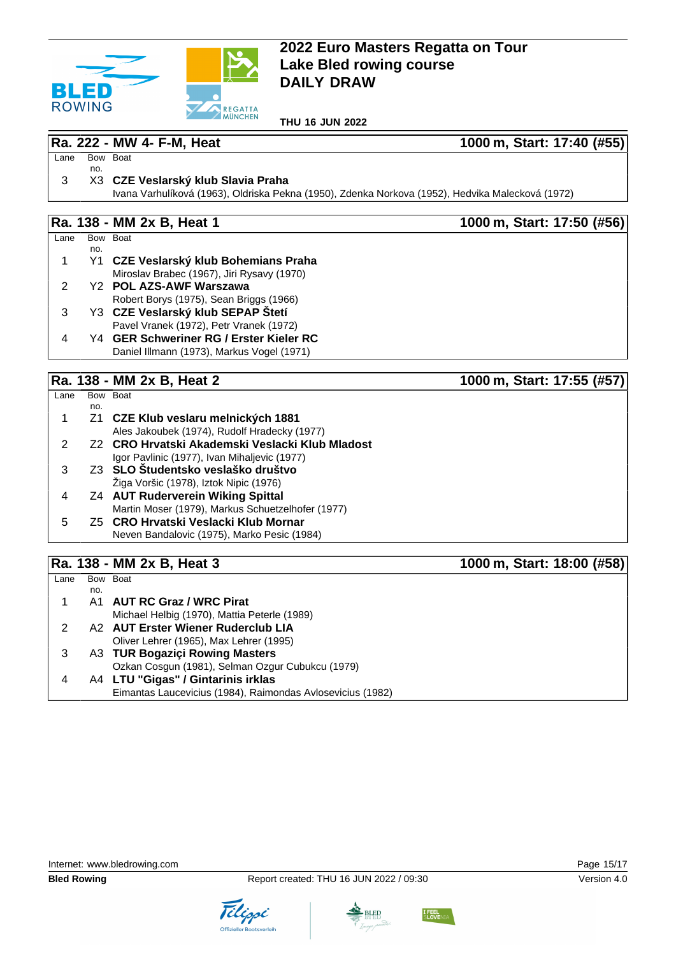

**THU 16 JUN 2022**

#### **Ra. 222 - MW 4- F-M, Heat 1000 m, Start: 17:40 (#55)**

Lane Bow Boat no.

#### 3 X3 **CZE Veslarský klub Slavia Praha**

Ivana Varhulíková (1963), Oldriska Pekna (1950), Zdenka Norkova (1952), Hedvika Malecková (1972)

### **Ra. 138 - MM 2x B, Heat 1 1000 m, Start: 17:50 (#56)**

| Lane | Bow | <b>Boat</b>                                |
|------|-----|--------------------------------------------|
|      | no. |                                            |
| 1.   |     | Y1 CZE Veslarský klub Bohemians Praha      |
|      |     | Miroslav Brabec (1967), Jiri Rysavy (1970) |
| 2.   |     | Y2 POL AZS-AWF Warszawa                    |
|      |     | Robert Borys (1975), Sean Briggs (1966)    |
| 3    |     | Y3 CZE Veslarský klub SEPAP Štetí          |
|      |     | Pavel Vranek (1972), Petr Vranek (1972)    |
|      |     |                                            |

4 Y4 **GER Schweriner RG / Erster Kieler RC** Daniel Illmann (1973), Markus Vogel (1971)

### **Ra. 138 - MM 2x B, Heat 2 1000 m, Start: 17:55 (#57)**

|      |     | $\cdots \cdots$ $\cdots$ $\cdots$ $\cdots$        | $1999111$ , $919111$ , $1199$ , $1191$ |
|------|-----|---------------------------------------------------|----------------------------------------|
| Lane |     | Bow Boat                                          |                                        |
|      | no. |                                                   |                                        |
|      |     | Z1 CZE Klub veslaru melnických 1881               |                                        |
|      |     | Ales Jakoubek (1974), Rudolf Hradecky (1977)      |                                        |
|      |     | Z2 CRO Hrvatski Akademski Veslacki Klub Mladost   |                                        |
|      |     | Igor Pavlinic (1977), Ivan Mihaljevic (1977)      |                                        |
|      |     | Z3 SLO Studentsko veslaško društvo                |                                        |
|      |     | Ziga Voršic (1978), Iztok Nipic (1976)            |                                        |
|      |     | <b>Z4 AUT Ruderverein Wiking Spittal</b>          |                                        |
|      |     | Martin Moser (1979), Markus Schuetzelhofer (1977) |                                        |
| 5    |     | Z5 CRO Hrvatski Veslacki Klub Mornar              |                                        |
|      |     | Neven Bandalovic (1975), Marko Pesic (1984)       |                                        |
|      |     |                                                   |                                        |
|      |     |                                                   |                                        |

## **Ra. 138 - MM 2x B, Heat 3 1000 m, Start: 18:00 (#58)**

| Lane |     | Bow Boat                                                   |
|------|-----|------------------------------------------------------------|
|      | no. |                                                            |
|      |     | A1 AUT RC Graz / WRC Pirat                                 |
|      |     | Michael Helbig (1970), Mattia Peterle (1989)               |
|      |     | A2 AUT Erster Wiener Ruderclub LIA                         |
|      |     | Oliver Lehrer (1965), Max Lehrer (1995)                    |
|      |     | A3 TUR Bogaziçi Rowing Masters                             |
|      |     | Ozkan Cosgun (1981), Selman Ozgur Cubukcu (1979)           |
|      |     | A4 LTU "Gigas" / Gintarinis irklas                         |
|      |     | Eimantas Laucevicius (1984), Raimondas Avlosevicius (1982) |



**BLED** 

Tilippi

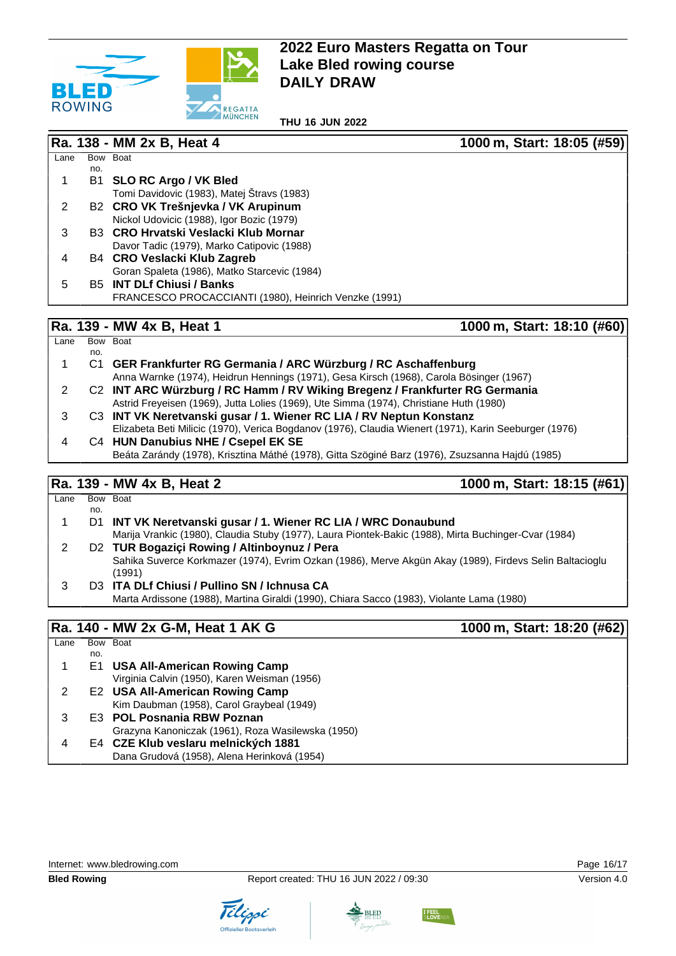

**THU 16 JUN 2022**

|      |     | Ra. 138 - MM 2x B, Heat 4                             | 1000 m, Start: 18:05 (#59) |
|------|-----|-------------------------------------------------------|----------------------------|
| Lane |     | Bow Boat                                              |                            |
|      | no. |                                                       |                            |
|      | В1  | <b>SLO RC Argo / VK Bled</b>                          |                            |
|      |     | Tomi Davidovic (1983), Matej Štravs (1983)            |                            |
| 2    |     | B2 CRO VK Trešnjevka / VK Arupinum                    |                            |
|      |     | Nickol Udovicic (1988), Igor Bozic (1979)             |                            |
| 3    |     | B3 CRO Hrvatski Veslacki Klub Mornar                  |                            |
|      |     | Davor Tadic (1979), Marko Catipovic (1988)            |                            |
| 4    |     | B4 CRO Veslacki Klub Zagreb                           |                            |
|      |     | Goran Spaleta (1986), Matko Starcevic (1984)          |                            |
| 5    |     | <b>B5 INT DLf Chiusi / Banks</b>                      |                            |
|      |     | FRANCESCO PROCACCIANTI (1980), Heinrich Venzke (1991) |                            |
|      |     |                                                       |                            |
|      |     | Ra. 139 - MW 4x B, Heat 1                             | 1000 m, Start: 18:10 (#60) |

| Lane |     | Bow Boat                                                                                              |
|------|-----|-------------------------------------------------------------------------------------------------------|
|      | no. |                                                                                                       |
|      |     | C1 GER Frankfurter RG Germania / ARC Würzburg / RC Aschaffenburg                                      |
|      |     | Anna Warnke (1974), Heidrun Hennings (1971), Gesa Kirsch (1968), Carola Bösinger (1967)               |
|      |     | C2 INT ARC Würzburg / RC Hamm / RV Wiking Bregenz / Frankfurter RG Germania                           |
|      |     | Astrid Freyeisen (1969), Jutta Lolies (1969), Ute Simma (1974), Christiane Huth (1980)                |
| 3    |     | C3 INT VK Neretvanski gusar / 1. Wiener RC LIA / RV Neptun Konstanz                                   |
|      |     | Elizabeta Beti Milicic (1970), Verica Bogdanov (1976), Claudia Wienert (1971), Karin Seeburger (1976) |
| 4    |     | C4 HUN Danubius NHE / Csepel EK SE                                                                    |
|      |     | Beáta Zarándy (1978), Krisztina Máthé (1978), Gitta Szöginé Barz (1976), Zsuzsanna Hajdú (1985)       |
|      |     |                                                                                                       |

#### **Ra. 139 - MW 4x B, Heat 2 1000 m, Start: 18:15 (#61)**

|      |     | $1.9.9.9.111$ , $1.0.1.1.1.1.1$ , $1.0.1.1.1.1.1.1.1.1$                                                           |
|------|-----|-------------------------------------------------------------------------------------------------------------------|
| Lane |     | Bow Boat                                                                                                          |
|      | no. |                                                                                                                   |
|      | D1. | INT VK Neretvanski gusar / 1. Wiener RC LIA / WRC Donaubund                                                       |
|      |     | Marija Vrankic (1980), Claudia Stuby (1977), Laura Piontek-Bakic (1988), Mirta Buchinger-Cvar (1984)              |
| 2    |     | D2 TUR Bogazici Rowing / Altinboynuz / Pera                                                                       |
|      |     | Sahika Suverce Korkmazer (1974), Evrim Ozkan (1986), Merve Akgün Akay (1989), Firdevs Selin Baltacioglu<br>(1991) |
| 3    |     | D3 ITA DLf Chiusi / Pullino SN / Ichnusa CA                                                                       |
|      |     | Marta Ardissone (1988), Martina Giraldi (1990), Chiara Sacco (1983), Violante Lama (1980)                         |
|      |     |                                                                                                                   |

### **Ra. 140 - MW 2x G-M, Heat 1 AK G 1000 m, Start: 18:20 (#62)**

Lane Bow Boat no. 1 E1 **USA All-American Rowing Camp** Virginia Calvin (1950), Karen Weisman (1956) 2 E2 **USA All-American Rowing Camp** Kim Daubman (1958), Carol Graybeal (1949) 3 E3 **POL Posnania RBW Poznan** Grazyna Kanoniczak (1961), Roza Wasilewska (1950) 4 E4 **CZE Klub veslaru melnických 1881** Dana Grudová (1958), Alena Herinková (1954)

Tilippi